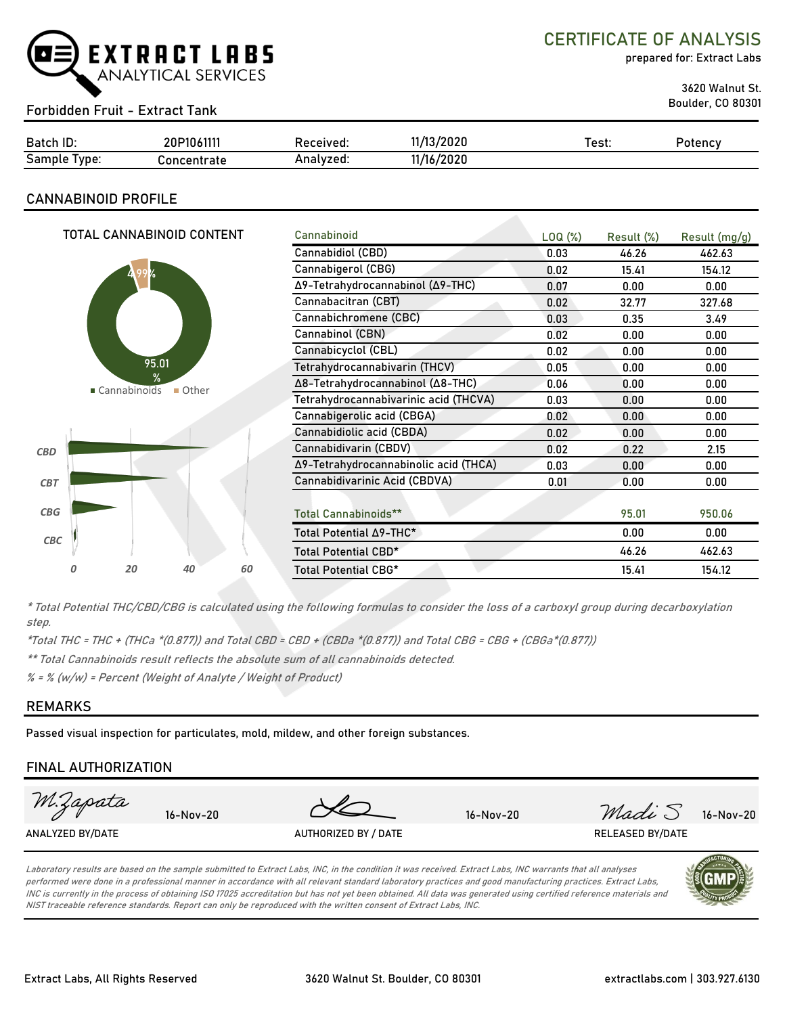

CERTIFICATE OF ANALYSIS

prepared for: Extract Labs

3620 Walnut St.

## Boulder, CO 80301 Forbidden Fruit - Extract Tank

| Batch ID:                 | 20P1061111  | Received: | 11/13/2020 | est: | Potency |
|---------------------------|-------------|-----------|------------|------|---------|
| $\sim$<br>Sample<br>Ivpe: | Concentrate | Analvzed: | 11/16/2020 |      |         |

### **CANNABINOID PROFILE**

|                              |   |                                       | TOTAL CANNABINOID CONTENT        |                       | Cannabinoid                           | LOQ( <sub>%</sub> ) | Result (%) | Result (mg/g) |
|------------------------------|---|---------------------------------------|----------------------------------|-----------------------|---------------------------------------|---------------------|------------|---------------|
|                              |   |                                       |                                  |                       | Cannabidiol (CBD)                     | 0.03                | 46.26      | 462.63        |
|                              |   |                                       |                                  |                       | Cannabigerol (CBG)                    | 0.02                | 15.41      | 154.12        |
|                              |   |                                       |                                  |                       | Δ9-Tetrahydrocannabinol (Δ9-THC)      | 0.07                | 0.00       | 0.00          |
|                              |   |                                       |                                  | Cannabacitran (CBT)   | 0.02                                  | 32.77               | 327.68     |               |
|                              |   |                                       |                                  | Cannabichromene (CBC) | 0.03                                  | 0.35                | 3.49       |               |
|                              |   |                                       |                                  | Cannabinol (CBN)      | 0.02                                  | 0.00                | 0.00       |               |
|                              |   |                                       |                                  |                       | Cannabicyclol (CBL)                   | 0.02                | 0.00       | 0.00          |
| 95.01                        |   |                                       | Tetrahydrocannabivarin (THCV)    | 0.05                  | 0.00                                  | 0.00                |            |               |
| ℀<br>■ Cannabinoids<br>Other |   |                                       | Δ8-Tetrahydrocannabinol (Δ8-THC) | 0.06                  | 0.00                                  | 0.00                |            |               |
|                              |   | Tetrahydrocannabivarinic acid (THCVA) | 0.03                             | 0.00                  | 0.00                                  |                     |            |               |
|                              |   |                                       |                                  |                       | Cannabigerolic acid (CBGA)            | 0.02 <sub>1</sub>   | 0.00       | 0.00          |
|                              |   |                                       |                                  |                       | Cannabidiolic acid (CBDA)             | 0.02                | 0.00       | 0.00          |
| <b>CBD</b>                   |   |                                       |                                  |                       | Cannabidivarin (CBDV)                 | 0.02                | 0.22       | 2.15          |
|                              |   |                                       |                                  |                       | Δ9-Tetrahydrocannabinolic acid (THCA) | 0.03                | 0.00       | 0.00          |
| <b>CBT</b>                   |   |                                       |                                  |                       | Cannabidivarinic Acid (CBDVA)         | 0.01                | 0.00       | 0.00          |
|                              |   |                                       |                                  |                       |                                       |                     |            |               |
| CBG                          |   |                                       |                                  |                       | <b>Total Cannabinoids**</b>           |                     | 95.01      | 950.06        |
| CBC                          |   |                                       |                                  |                       | Total Potential ∆9-THC*               |                     | 0.00       | 0.00          |
|                              |   |                                       |                                  |                       | Total Potential CBD*                  |                     | 46.26      | 462.63        |
|                              | 0 | 20                                    | 40                               | 60                    | <b>Total Potential CBG*</b>           |                     | 15.41      | 154.12        |
|                              |   |                                       |                                  |                       |                                       |                     |            |               |

\* Total Potential THC/CBD/CBG is calculated using the following formulas to consider the loss of a carboxyl group during decarboxylation step.

\*Total THC = THC + (THCa \*(0.877)) and Total CBD = CBD + (CBDa \*(0.877)) and Total CBG = CBG + (CBGa\*(0.877))

\*\* Total Cannabinoids result reflects the absolute sum of all cannabinoids detected.

% = % (w/w) = Percent (Weight of Analyte / Weight of Product)

#### **REMARKS**

Passed visual inspection for particulates, mold, mildew, and other foreign substances.

## **FINAL AUTHORIZATION**



Laboratory results are based on the sample submitted to Extract Labs, INC, in the condition it was received. Extract Labs, INC warrants that all analyses performed were done in a professional manner in accordance with all relevant standard laboratory practices and good manufacturing practices. Extract Labs, INC is currently in the process of obtaining ISO 17025 accreditation but has not yet been obtained. All data was generated using certified reference materials and NIST traceable reference standards. Report can only be reproduced with the written consent of Extract Labs, INC.

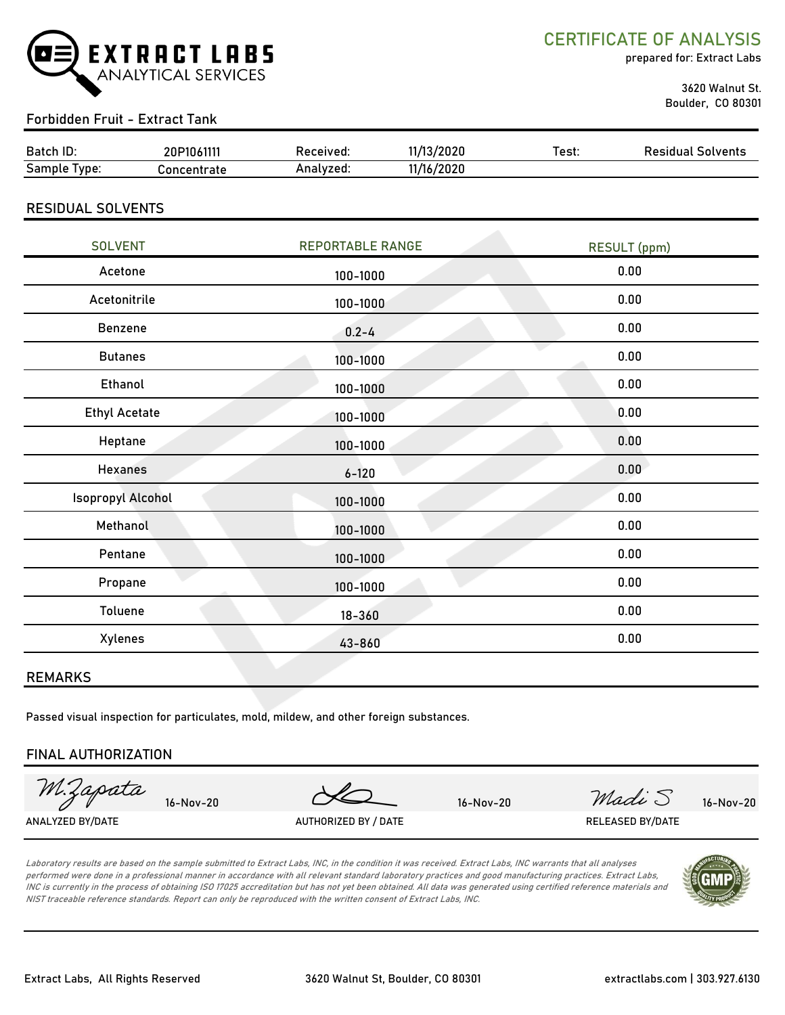

CERTIFICATE OF ANALYSIS

prepared for: Extract Labs

 3620 Walnut St. Boulder, CO 80301

## Forbidden Fruit - Extract Tank

| Batch ID:       | 20P1061111  | Received: | 11/13/2020 | Test: | <b>Residual Solvents</b> |
|-----------------|-------------|-----------|------------|-------|--------------------------|
| Sample<br>Type. | Concentrate | Analyzed: | 11/16/2020 |       |                          |

## RESIDUAL SOLVENTS

| <b>SOLVENT</b>           | <b>REPORTABLE RANGE</b> | RESULT (ppm) |
|--------------------------|-------------------------|--------------|
| Acetone                  | 100-1000                | 0.00         |
| Acetonitrile             | 100-1000                | 0.00         |
| Benzene                  | $0.2 - 4$               | 0.00         |
| <b>Butanes</b>           | 100-1000                | 0.00         |
| Ethanol                  | 100-1000                | 0.00         |
| <b>Ethyl Acetate</b>     | 100-1000                | 0.00         |
| Heptane                  | 100-1000                | 0.00         |
| <b>Hexanes</b>           | $6 - 120$               | 0.00         |
| <b>Isopropyl Alcohol</b> | 100-1000                | 0.00         |
| Methanol                 | 100-1000                | 0.00         |
| Pentane                  | 100-1000                | 0.00         |
| Propane                  | 100-1000                | 0.00         |
| Toluene                  | $18 - 360$              | 0.00         |
| Xylenes                  | 43-860                  | 0.00         |
|                          |                         |              |

#### REMARKS

Passed visual inspection for particulates, mold, mildew, and other foreign substances.

#### FINAL AUTHORIZATION

M. Lapata  $16-Nov-20$   $16-Nov-20$   $\n 16-Nov-20$   $\n 16-Nov-20$ ANALYZED BY/DATE AUTHORIZED BY / DATE AUTHORIZED BY / DATE RELEASED BY/DATE

Laboratory results are based on the sample submitted to Extract Labs, INC, in the condition it was received. Extract Labs, INC warrants that all analyses performed were done in a professional manner in accordance with all relevant standard laboratory practices and good manufacturing practices. Extract Labs, INC is currently in the process of obtaining ISO 17025 accreditation but has not yet been obtained. All data was generated using certified reference materials and NIST traceable reference standards. Report can only be reproduced with the written consent of Extract Labs, INC.